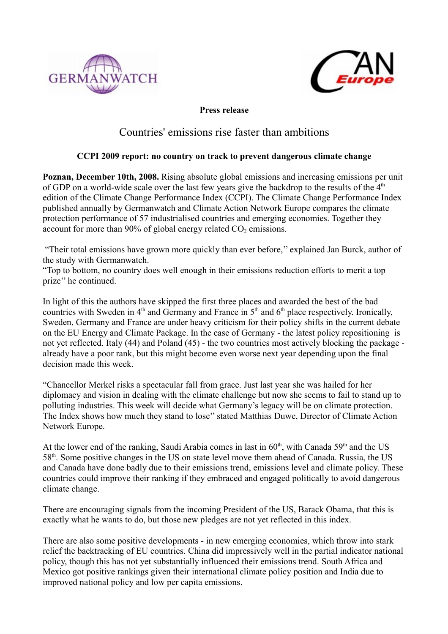



**Press release**

## Countries' emissions rise faster than ambitions

## **CCPI 2009 report: no country on track to prevent dangerous climate change**

**Poznan, December 10th, 2008.** Rising absolute global emissions and increasing emissions per unit of GDP on a world-wide scale over the last few years give the backdrop to the results of the  $4<sup>th</sup>$ edition of the Climate Change Performance Index (CCPI). The Climate Change Performance Index published annually by Germanwatch and Climate Action Network Europe compares the climate protection performance of 57 industrialised countries and emerging economies. Together they account for more than  $90\%$  of global energy related  $CO<sub>2</sub>$  emissions.

 "Their total emissions have grown more quickly than ever before,'' explained Jan Burck, author of the study with Germanwatch.

"Top to bottom, no country does well enough in their emissions reduction efforts to merit a top prize'' he continued.

In light of this the authors have skipped the first three places and awarded the best of the bad countries with Sweden in  $4<sup>th</sup>$  and Germany and France in  $5<sup>th</sup>$  and  $6<sup>th</sup>$  place respectively. Ironically, Sweden, Germany and France are under heavy criticism for their policy shifts in the current debate on the EU Energy and Climate Package. In the case of Germany - the latest policy repositioning is not yet reflected. Italy (44) and Poland (45) - the two countries most actively blocking the package already have a poor rank, but this might become even worse next year depending upon the final decision made this week.

"Chancellor Merkel risks a spectacular fall from grace. Just last year she was hailed for her diplomacy and vision in dealing with the climate challenge but now she seems to fail to stand up to polluting industries. This week will decide what Germany's legacy will be on climate protection. The Index shows how much they stand to lose'' stated Matthias Duwe, Director of Climate Action Network Europe.

At the lower end of the ranking, Saudi Arabia comes in last in  $60<sup>th</sup>$ , with Canada 59<sup>th</sup> and the US 58th. Some positive changes in the US on state level move them ahead of Canada. Russia, the US and Canada have done badly due to their emissions trend, emissions level and climate policy. These countries could improve their ranking if they embraced and engaged politically to avoid dangerous climate change.

There are encouraging signals from the incoming President of the US, Barack Obama, that this is exactly what he wants to do, but those new pledges are not yet reflected in this index.

There are also some positive developments - in new emerging economies, which throw into stark relief the backtracking of EU countries. China did impressively well in the partial indicator national policy, though this has not yet substantially influenced their emissions trend. South Africa and Mexico got positive rankings given their international climate policy position and India due to improved national policy and low per capita emissions.